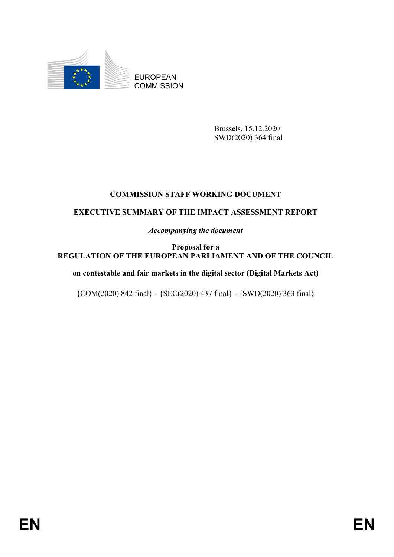

EUROPEAN **COMMISSION** 

> Brussels, 15.12.2020 SWD(2020) 364 final

# **COMMISSION STAFF WORKING DOCUMENT**

# **EXECUTIVE SUMMARY OF THE IMPACT ASSESSMENT REPORT**

*Accompanying the document*

**Proposal for a REGULATION OF THE EUROPEAN PARLIAMENT AND OF THE COUNCIL**

**on contestable and fair markets in the digital sector (Digital Markets Act)**

 ${COM(2020) 842 final} - {SEC(2020) 437 final} - {SWD(2020) 363 final}$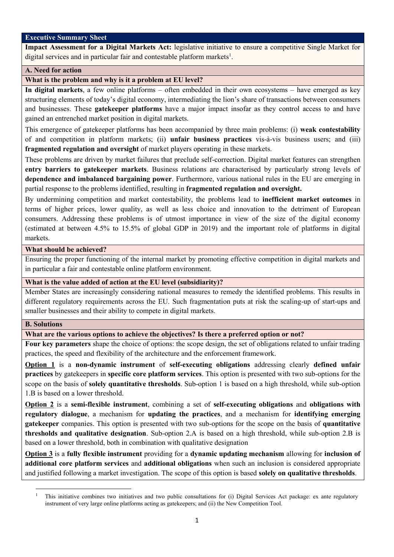#### **Executive Summary Sheet**

**Impact Assessment for a Digital Markets Act:** legislative initiative to ensure a competitive Single Market for digital services and in particular fair and contestable platform markets<sup>1</sup>.

# **A. Need for action**

### **What is the problem and why is it a problem at EU level?**

**In digital markets**, a few online platforms – often embedded in their own ecosystems – have emerged as key structuring elements of today's digital economy, intermediating the lion's share of transactions between consumers and businesses. These **gatekeeper platforms** have a major impact insofar as they control access to and have gained an entrenched market position in digital markets.

This emergence of gatekeeper platforms has been accompanied by three main problems: (i) **weak contestability**  of and competition in platform markets; (ii) **unfair business practices** vis-à-vis business users; and (iii) **fragmented regulation and oversight** of market players operating in these markets.

These problems are driven by market failures that preclude self-correction. Digital market features can strengthen **entry barriers to gatekeeper markets**. Business relations are characterised by particularly strong levels of **dependence and imbalanced bargaining power**. Furthermore, various national rules in the EU are emerging in partial response to the problems identified, resulting in **fragmented regulation and oversight.** 

By undermining competition and market contestability, the problems lead to **inefficient market outcomes** in terms of higher prices, lower quality, as well as less choice and innovation to the detriment of European consumers. Addressing these problems is of utmost importance in view of the size of the digital economy (estimated at between 4.5% to 15.5% of global GDP in 2019) and the important role of platforms in digital markets.

### **What should be achieved?**

Ensuring the proper functioning of the internal market by promoting effective competition in digital markets and in particular a fair and contestable online platform environment.

#### **What is the value added of action at the EU level (subsidiarity)?**

Member States are increasingly considering national measures to remedy the identified problems. This results in different regulatory requirements across the EU. Such fragmentation puts at risk the scaling-up of start-ups and smaller businesses and their ability to compete in digital markets.

#### **B. Solutions**

 $\ddot{\phantom{a}}$ 

# **What are the various options to achieve the objectives? Is there a preferred option or not?**

**Four key parameters** shape the choice of options: the scope design, the set of obligations related to unfair trading practices, the speed and flexibility of the architecture and the enforcement framework.

**Option 1** is a **non-dynamic instrument** of **self-executing obligations** addressing clearly **defined unfair practices** by gatekeepers in **specific core platform services**. This option is presented with two sub-options for the scope on the basis of **solely quantitative thresholds**. Sub-option 1 is based on a high threshold, while sub-option 1.B is based on a lower threshold.

**Option 2** is a **semi-flexible instrument**, combining a set of **self-executing obligations** and **obligations with regulatory dialogue**, a mechanism for **updating the practices**, and a mechanism for **identifying emerging gatekeeper** companies. This option is presented with two sub-options for the scope on the basis of **quantitative thresholds and qualitative designation**. Sub-option 2.A is based on a high threshold, while sub-option 2.B is based on a lower threshold, both in combination with qualitative designation

**Option 3** is a **fully flexible instrument** providing for a **dynamic updating mechanism** allowing for **inclusion of additional core platform services** and **additional obligations** when such an inclusion is considered appropriate and justified following a market investigation. The scope of this option is based **solely on qualitative thresholds**.

<sup>1</sup> This initiative combines two initiatives and two public consultations for (i) Digital Services Act package: ex ante regulatory instrument of very large online platforms acting as gatekeepers; and (ii) the New Competition Tool.